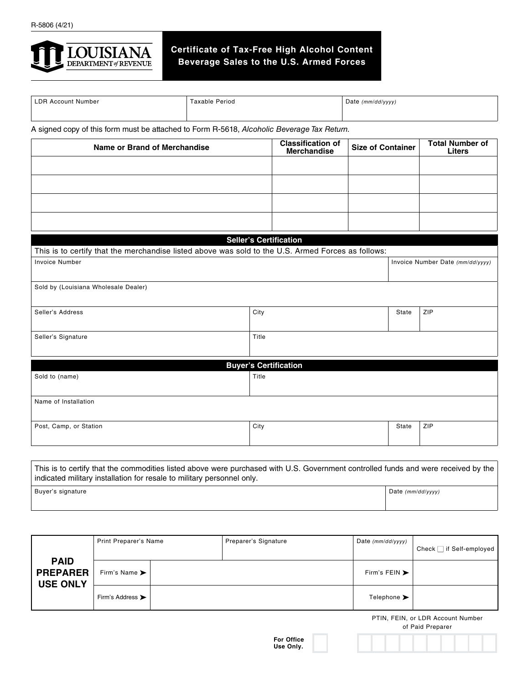

## **Certificate of Tax-Free High Alcohol Content Beverage Sales to the U.S. Armed Forces**

| <b>LDR Account Number</b> | Taxable Period | Date           |  |  |
|---------------------------|----------------|----------------|--|--|
|                           |                | ` (mm/dd/yyyy) |  |  |
|                           |                |                |  |  |

A signed copy of this form must be attached to Form R-5618, *Alcoholic Beverage Tax Return.*

| Name or Brand of Merchandise                                                                       |       | <b>Classification of</b><br><b>Merchandise</b> | <b>Size of Container</b>         |       | <b>Total Number of</b><br><b>Liters</b> |  |  |
|----------------------------------------------------------------------------------------------------|-------|------------------------------------------------|----------------------------------|-------|-----------------------------------------|--|--|
|                                                                                                    |       |                                                |                                  |       |                                         |  |  |
|                                                                                                    |       |                                                |                                  |       |                                         |  |  |
|                                                                                                    |       |                                                |                                  |       |                                         |  |  |
|                                                                                                    |       |                                                |                                  |       |                                         |  |  |
|                                                                                                    |       | <b>Seller's Certification</b>                  |                                  |       |                                         |  |  |
| This is to certify that the merchandise listed above was sold to the U.S. Armed Forces as follows: |       |                                                |                                  |       |                                         |  |  |
| <b>Invoice Number</b>                                                                              |       |                                                | Invoice Number Date (mm/dd/yyyy) |       |                                         |  |  |
| Sold by (Louisiana Wholesale Dealer)                                                               |       |                                                |                                  |       |                                         |  |  |
| Seller's Address                                                                                   | City  |                                                |                                  | State | ZIP                                     |  |  |
| Seller's Signature                                                                                 | Title |                                                |                                  |       |                                         |  |  |
|                                                                                                    |       |                                                |                                  |       |                                         |  |  |
|                                                                                                    |       | <b>Buyer's Certification</b>                   |                                  |       |                                         |  |  |
| Sold to (name)                                                                                     | Title |                                                |                                  |       |                                         |  |  |
| Name of Installation                                                                               |       |                                                |                                  |       |                                         |  |  |
| Post, Camp, or Station                                                                             | City  |                                                |                                  | State | ZIP                                     |  |  |
|                                                                                                    |       |                                                |                                  |       |                                         |  |  |

This is to certify that the commodities listed above were purchased with U.S. Government controlled funds and were received by the indicated military installation for resale to military personnel only. Buyer's signature Date *(mm/dd/yyyy)* Date *(mm/dd/yyyy)* 

|                                                   | Print Preparer's Name             |  | Preparer's Signature | Date $(mm/dd/yyyy)$               | Check $\Box$ if Self-employed |
|---------------------------------------------------|-----------------------------------|--|----------------------|-----------------------------------|-------------------------------|
| <b>PAID</b><br><b>PREPARER</b><br><b>USE ONLY</b> | Firm's Name $\blacktriangleright$ |  |                      | Firm's FEIN $\blacktriangleright$ |                               |
|                                                   | Firm's Address >                  |  |                      | Telephone $\blacktriangleright$   |                               |

PTIN, FEIN, or LDR Account Number



of Paid Preparer